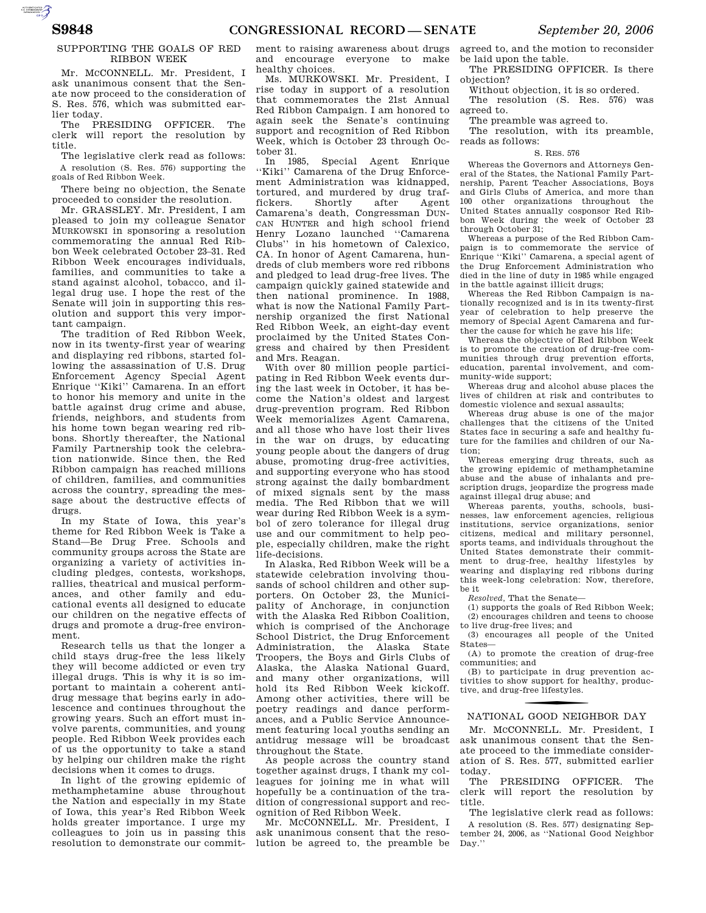## SUPPORTING THE GOALS OF RED RIBBON WEEK

Mr. MCCONNELL. Mr. President. I ask unanimous consent that the Senate now proceed to the consideration of S. Res. 576, which was submitted earlier today.

The PRESIDING OFFICER. The clerk will report the resolution by title.

The legislative clerk read as follows: A resolution (S. Res. 576) supporting the goals of Red Ribbon Week.

There being no objection, the Senate proceeded to consider the resolution.

Mr. GRASSLEY. Mr. President, I am pleased to join my colleague Senator MURKOWSKI in sponsoring a resolution commemorating the annual Red Ribbon Week celebrated October 23–31. Red Ribbon Week encourages individuals, families, and communities to take a stand against alcohol, tobacco, and illegal drug use. I hope the rest of the Senate will join in supporting this resolution and support this very important campaign.

The tradition of Red Ribbon Week, now in its twenty-first year of wearing and displaying red ribbons, started following the assassination of U.S. Drug Enforcement Agency Special Agent Enrique ''Kiki'' Camarena. In an effort to honor his memory and unite in the battle against drug crime and abuse, friends, neighbors, and students from his home town began wearing red ribbons. Shortly thereafter, the National Family Partnership took the celebration nationwide. Since then, the Red Ribbon campaign has reached millions of children, families, and communities across the country, spreading the message about the destructive effects of drugs.

In my State of Iowa, this year's theme for Red Ribbon Week is Take a Stand—Be Drug Free. Schools and community groups across the State are organizing a variety of activities including pledges, contests, workshops, rallies, theatrical and musical performances, and other family and educational events all designed to educate our children on the negative effects of drugs and promote a drug-free environment.

Research tells us that the longer a child stays drug-free the less likely they will become addicted or even try illegal drugs. This is why it is so important to maintain a coherent antidrug message that begins early in adolescence and continues throughout the growing years. Such an effort must involve parents, communities, and young people. Red Ribbon Week provides each of us the opportunity to take a stand by helping our children make the right decisions when it comes to drugs.

In light of the growing epidemic of methamphetamine abuse throughout the Nation and especially in my State of Iowa, this year's Red Ribbon Week holds greater importance. I urge my colleagues to join us in passing this resolution to demonstrate our commit-

ment to raising awareness about drugs and encourage everyone to make healthy choices.

Ms. MURKOWSKI. Mr. President, I rise today in support of a resolution that commemorates the 21st Annual Red Ribbon Campaign. I am honored to again seek the Senate's continuing support and recognition of Red Ribbon Week, which is October 23 through October 31.

In 1985, Special Agent Enrique ''Kiki'' Camarena of the Drug Enforcement Administration was kidnapped, tortured, and murdered by drug traf-<br>fickers. Shortly after Agent fickers. Shortly after Agent Camarena's death, Congressman DUN-CAN HUNTER and high school friend Henry Lozano launched ''Camarena Clubs'' in his hometown of Calexico, CA. In honor of Agent Camarena, hundreds of club members wore red ribbons and pledged to lead drug-free lives. The campaign quickly gained statewide and then national prominence. In 1988, what is now the National Family Partnership organized the first National Red Ribbon Week, an eight-day event proclaimed by the United States Congress and chaired by then President and Mrs. Reagan.

With over 80 million people participating in Red Ribbon Week events during the last week in October, it has become the Nation's oldest and largest drug-prevention program. Red Ribbon Week memorializes Agent Camarena, and all those who have lost their lives in the war on drugs, by educating young people about the dangers of drug abuse, promoting drug-free activities, and supporting everyone who has stood strong against the daily bombardment of mixed signals sent by the mass media. The Red Ribbon that we will wear during Red Ribbon Week is a symbol of zero tolerance for illegal drug use and our commitment to help people, especially children, make the right life-decisions.

In Alaska, Red Ribbon Week will be a statewide celebration involving thousands of school children and other supporters. On October 23, the Municipality of Anchorage, in conjunction with the Alaska Red Ribbon Coalition, which is comprised of the Anchorage School District, the Drug Enforcement Administration, the Alaska State Troopers, the Boys and Girls Clubs of Alaska, the Alaska National Guard, and many other organizations, will hold its Red Ribbon Week kickoff. Among other activities, there will be poetry readings and dance performances, and a Public Service Announcement featuring local youths sending an antidrug message will be broadcast throughout the State.

As people across the country stand together against drugs, I thank my colleagues for joining me in what will hopefully be a continuation of the tradition of congressional support and recognition of Red Ribbon Week.

Mr. MCCONNELL. Mr. President, I ask unanimous consent that the resolution be agreed to, the preamble be agreed to, and the motion to reconsider be laid upon the table.

The PRESIDING OFFICER. Is there objection?

Without objection, it is so ordered.

The resolution (S. Res. 576) was agreed to.

The preamble was agreed to.

The resolution, with its preamble, reads as follows:

#### S. RES. 576

Whereas the Governors and Attorneys General of the States, the National Family Partnership, Parent Teacher Associations, Boys and Girls Clubs of America, and more than 100 other organizations throughout the United States annually cosponsor Red Ribbon Week during the week of October 23 through October 31;

Whereas a purpose of the Red Ribbon Campaign is to commemorate the service of Enrique ''Kiki'' Camarena, a special agent of the Drug Enforcement Administration who died in the line of duty in 1985 while engaged in the battle against illicit drugs;

Whereas the Red Ribbon Campaign is nationally recognized and is in its twenty-first year of celebration to help preserve the memory of Special Agent Camarena and further the cause for which he gave his life;

Whereas the objective of Red Ribbon Week is to promote the creation of drug-free communities through drug prevention efforts, education, parental involvement, and community-wide support;

Whereas drug and alcohol abuse places the lives of children at risk and contributes to domestic violence and sexual assaults;

Whereas drug abuse is one of the major challenges that the citizens of the United States face in securing a safe and healthy future for the families and children of our Nation;

Whereas emerging drug threats, such as the growing epidemic of methamphetamine abuse and the abuse of inhalants and prescription drugs, jeopardize the progress made against illegal drug abuse; and

Whereas parents, youths, schools, businesses, law enforcement agencies, religious institutions, service organizations, senior citizens, medical and military personnel, sports teams, and individuals throughout the United States demonstrate their commitment to drug-free, healthy lifestyles by wearing and displaying red ribbons during this week-long celebration: Now, therefore, be it

*Resolved,* That the Senate—

(1) supports the goals of Red Ribbon Week; (2) encourages children and teens to choose to live drug-free lives; and

(3) encourages all people of the United States—

(A) to promote the creation of drug-free communities; and

(B) to participate in drug prevention activities to show support for healthy, productive, and drug-free lifestyles.

# f NATIONAL GOOD NEIGHBOR DAY

Mr. MCCONNELL. Mr. President, I ask unanimous consent that the Senate proceed to the immediate consideration of S. Res. 577, submitted earlier today.

The PRESIDING OFFICER. The clerk will report the resolution by title.

The legislative clerk read as follows: A resolution (S. Res. 577) designating September 24, 2006, as ''National Good Neighbor Day.''

AUTOROTOMICALE